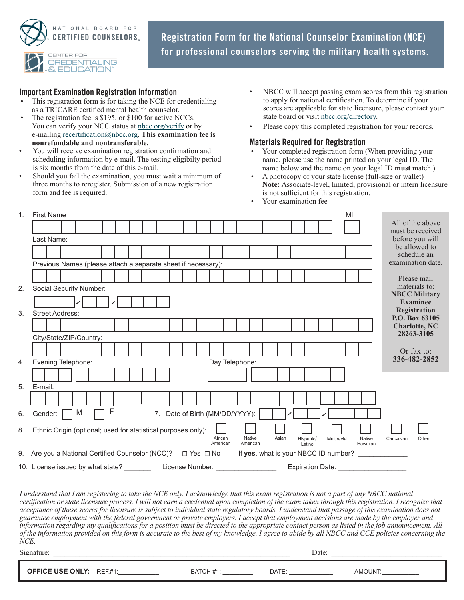

**Registration Form for the National Counselor Examination (NCE) for professional counselors serving the military health systems.**

## **Important Examination Registration Information**

- This registration form is for taking the NCE for credentialing as a TRICARE certified mental health counselor.
- The registration fee is \$195, or \$100 for active NCCs. You can verify your NCC status at [nbcc.org/verify](http://www.nbcc.org/verify) or by e-mailing [recertification@nbcc.org.](mailto:recertification%40nbcc.org?subject=) **This examination fee is nonrefundable and nontransferable.**
- You will receive examination registration confirmation and scheduling information by e-mail. The testing eligibilty period is six months from the date of this e-mail.
- Should you fail the examination, you must wait a minimum of three months to reregister. Submission of a new registration form and fee is required.
- NBCC will accept passing exam scores from this registration to apply for national certification. To determine if your scores are applicable for state licensure, please contact your state board or visit [nbcc.org/directory](http://www.nbcc.org/directory).
- Please copy this completed registration for your records.

## **Materials Required for Registration**

- Your completed registration form (When providing your name, please use the name printed on your legal ID. The name below and the name on your legal ID **must** match.)
- A photocopy of your state license (full-size or wallet) **Note:** Associate-level, limited, provisional or intern licensure is not sufficient for this registration.
	- Your examination fee

| 1. | <b>First Name</b>                                                       |  |  |   |  |   |  |  |  |  |  |                                |                     |                |        |       |                     |             | MI: |                                      |  |           |                                      |  |
|----|-------------------------------------------------------------------------|--|--|---|--|---|--|--|--|--|--|--------------------------------|---------------------|----------------|--------|-------|---------------------|-------------|-----|--------------------------------------|--|-----------|--------------------------------------|--|
|    |                                                                         |  |  |   |  |   |  |  |  |  |  |                                |                     |                |        |       |                     |             |     |                                      |  |           | All of the above<br>must be received |  |
|    | Last Name:                                                              |  |  |   |  |   |  |  |  |  |  |                                |                     |                |        |       |                     |             |     |                                      |  |           | before you will                      |  |
|    |                                                                         |  |  |   |  |   |  |  |  |  |  |                                |                     |                |        |       |                     |             |     |                                      |  |           | be allowed to                        |  |
|    |                                                                         |  |  |   |  |   |  |  |  |  |  |                                |                     |                |        |       |                     |             |     |                                      |  |           | schedule an                          |  |
|    | Previous Names (please attach a separate sheet if necessary):           |  |  |   |  |   |  |  |  |  |  |                                | examination date.   |                |        |       |                     |             |     |                                      |  |           |                                      |  |
|    |                                                                         |  |  |   |  |   |  |  |  |  |  |                                |                     |                |        |       |                     |             |     |                                      |  |           | Please mail                          |  |
| 2. | Social Security Number:                                                 |  |  |   |  |   |  |  |  |  |  |                                |                     |                |        |       |                     |             |     |                                      |  |           | materials to:                        |  |
|    |                                                                         |  |  |   |  |   |  |  |  |  |  |                                |                     |                |        |       |                     |             |     |                                      |  |           | <b>NBCC Military</b>                 |  |
|    |                                                                         |  |  |   |  |   |  |  |  |  |  |                                |                     |                |        |       |                     |             |     |                                      |  |           | Examinee<br>Registration             |  |
| 3. | <b>Street Address:</b>                                                  |  |  |   |  |   |  |  |  |  |  |                                |                     |                |        |       |                     |             |     |                                      |  |           | P.O. Box 63105                       |  |
|    |                                                                         |  |  |   |  |   |  |  |  |  |  |                                |                     |                |        |       |                     |             |     |                                      |  |           | <b>Charlotte, NC</b>                 |  |
|    | City/State/ZIP/Country:                                                 |  |  |   |  |   |  |  |  |  |  |                                |                     |                |        |       |                     |             |     |                                      |  |           | 28263-3105                           |  |
|    |                                                                         |  |  |   |  |   |  |  |  |  |  |                                |                     |                |        |       |                     |             |     |                                      |  |           | Or fax to:                           |  |
| 4. | Evening Telephone:                                                      |  |  |   |  |   |  |  |  |  |  |                                |                     | Day Telephone: |        |       |                     |             |     |                                      |  |           | 336-482-2852                         |  |
|    |                                                                         |  |  |   |  |   |  |  |  |  |  |                                |                     |                |        |       |                     |             |     |                                      |  |           |                                      |  |
|    |                                                                         |  |  |   |  |   |  |  |  |  |  |                                |                     |                |        |       |                     |             |     |                                      |  |           |                                      |  |
| 5. | E-mail:                                                                 |  |  |   |  |   |  |  |  |  |  |                                |                     |                |        |       |                     |             |     |                                      |  |           |                                      |  |
|    |                                                                         |  |  |   |  |   |  |  |  |  |  |                                |                     |                |        |       |                     |             |     |                                      |  |           |                                      |  |
| 6. | Gender:                                                                 |  |  | M |  | F |  |  |  |  |  | 7. Date of Birth (MM/DD/YYYY): |                     |                |        |       |                     |             |     |                                      |  |           |                                      |  |
| 8. | Ethnic Origin (optional; used for statistical purposes only):           |  |  |   |  |   |  |  |  |  |  |                                | African<br>American | American       | Native | Asian | Hispanic/<br>Latino | Multiracial |     | Native<br>Hawaiian                   |  | Caucasian | Other                                |  |
|    | 9. Are you a National Certified Counselor (NCC)? □ Yes □ No             |  |  |   |  |   |  |  |  |  |  |                                |                     |                |        |       |                     |             |     | If yes, what is your NBCC ID number? |  |           |                                      |  |
|    | 10. License issued by what state? __________ License Number: __________ |  |  |   |  |   |  |  |  |  |  |                                |                     |                |        |       |                     |             |     | Expiration Date: Expiration Date:    |  |           |                                      |  |

*I understand that I am registering to take the NCE only. I acknowledge that this exam registration is not a part of any NBCC national certification or state licensure process. I will not earn a credential upon completion of the exam taken through this registration. I recognize that acceptance of these scores for licensure is subject to individual state regulatory boards. I understand that passage of this examination does not guarantee employment with the federal government or private employers. I accept that employment decisions are made by the employer and information regarding my qualifications for a position must be directed to the appropriate contact person as listed in the job announcement. All of the information provided on this form is accurate to the best of my knowledge. I agree to abide by all NBCC and CCE policies concerning the NCE.*

| $\sim$<br>Signature:  |               |                               | Date:       |                  |
|-----------------------|---------------|-------------------------------|-------------|------------------|
| <b>FFICE USE ONLY</b> | <b>REF.#1</b> | $\mathbf{u}$<br>BA<br>$\pi$ 1 | <b>DATE</b> | <b>JN</b><br>AMC |